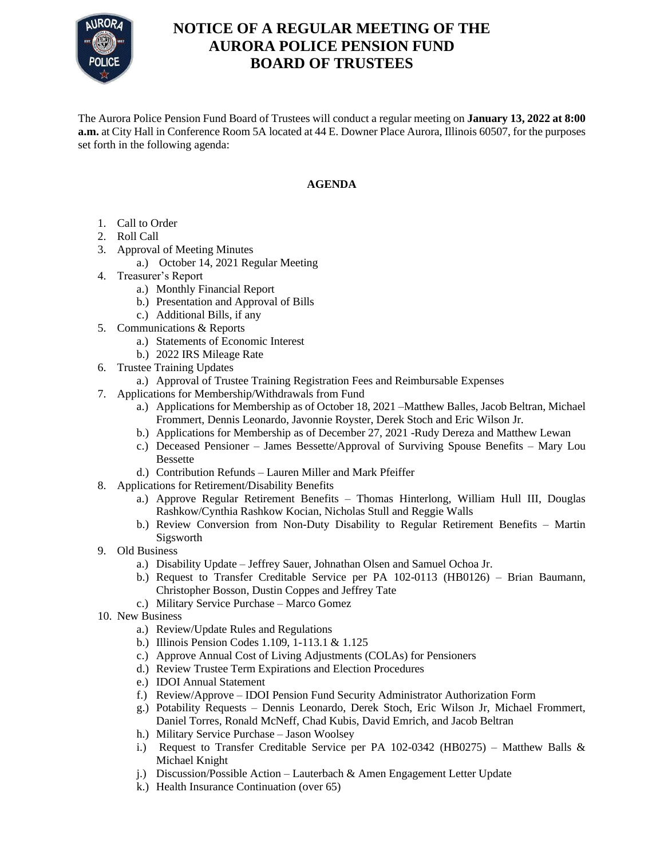

## **NOTICE OF A REGULAR MEETING OF THE AURORA POLICE PENSION FUND BOARD OF TRUSTEES**

The Aurora Police Pension Fund Board of Trustees will conduct a regular meeting on **January 13, 2022 at 8:00 a.m.** at City Hall in Conference Room 5A located at 44 E. Downer Place Aurora, Illinois 60507, for the purposes set forth in the following agenda:

## **AGENDA**

- 1. Call to Order
- 2. Roll Call
- 3. Approval of Meeting Minutes
	- a.) October 14, 2021 Regular Meeting
- 4. Treasurer's Report
	- a.) Monthly Financial Report
	- b.) Presentation and Approval of Bills
	- c.) Additional Bills, if any
- 5. Communications & Reports
	- a.) Statements of Economic Interest
	- b.) 2022 IRS Mileage Rate
- 6. Trustee Training Updates
	- a.) Approval of Trustee Training Registration Fees and Reimbursable Expenses
- 7. Applications for Membership/Withdrawals from Fund
	- a.) Applications for Membership as of October 18, 2021 –Matthew Balles, Jacob Beltran, Michael Frommert, Dennis Leonardo, Javonnie Royster, Derek Stoch and Eric Wilson Jr.
	- b.) Applications for Membership as of December 27, 2021 -Rudy Dereza and Matthew Lewan
	- c.) Deceased Pensioner James Bessette/Approval of Surviving Spouse Benefits Mary Lou Bessette
	- d.) Contribution Refunds Lauren Miller and Mark Pfeiffer
- 8. Applications for Retirement/Disability Benefits
	- a.) Approve Regular Retirement Benefits Thomas Hinterlong, William Hull III, Douglas Rashkow/Cynthia Rashkow Kocian, Nicholas Stull and Reggie Walls
	- b.) Review Conversion from Non-Duty Disability to Regular Retirement Benefits Martin Sigsworth
- 9. Old Business
	- a.) Disability Update Jeffrey Sauer, Johnathan Olsen and Samuel Ochoa Jr.
	- b.) Request to Transfer Creditable Service per PA 102-0113 (HB0126) Brian Baumann, Christopher Bosson, Dustin Coppes and Jeffrey Tate
	- c.) Military Service Purchase Marco Gomez
- 10. New Business
	- a.) Review/Update Rules and Regulations
	- b.) Illinois Pension Codes 1.109, 1-113.1 & 1.125
	- c.) Approve Annual Cost of Living Adjustments (COLAs) for Pensioners
	- d.) Review Trustee Term Expirations and Election Procedures
	- e.) IDOI Annual Statement
	- f.) Review/Approve IDOI Pension Fund Security Administrator Authorization Form
	- g.) Potability Requests Dennis Leonardo, Derek Stoch, Eric Wilson Jr, Michael Frommert, Daniel Torres, Ronald McNeff, Chad Kubis, David Emrich, and Jacob Beltran
	- h.) Military Service Purchase Jason Woolsey
	- i.) Request to Transfer Creditable Service per PA 102-0342 (HB0275) Matthew Balls  $\&$ Michael Knight
	- j.) Discussion/Possible Action Lauterbach & Amen Engagement Letter Update
	- k.) Health Insurance Continuation (over 65)